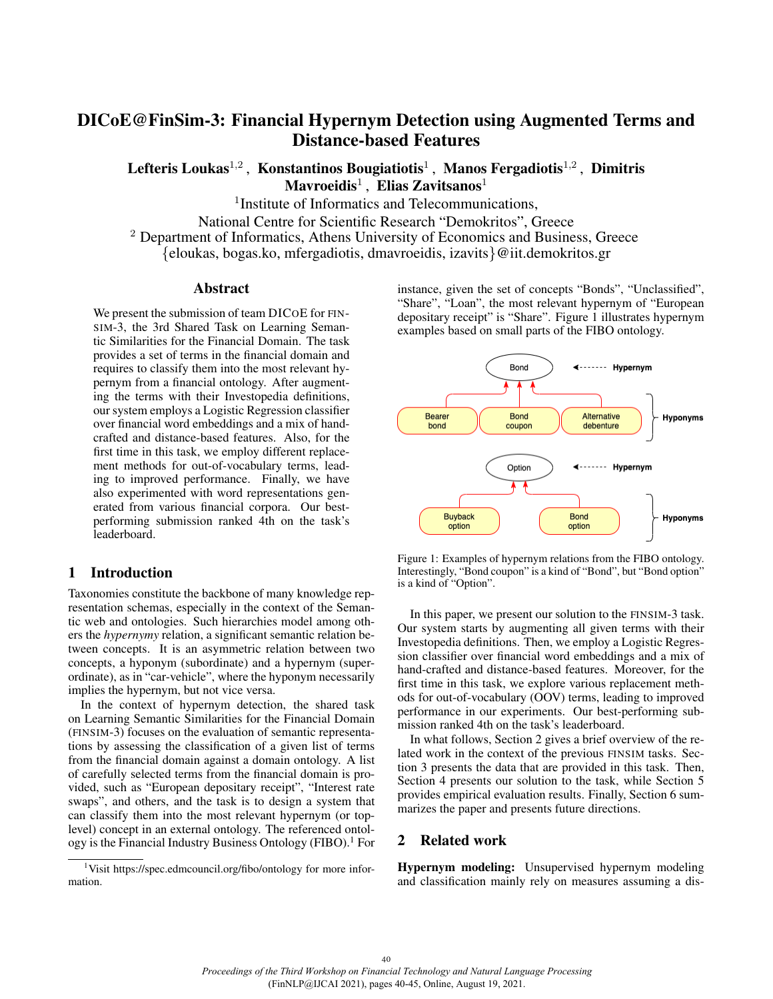# DICoE@FinSim-3: Financial Hypernym Detection using Augmented Terms and Distance-based Features

Lefteris Loukas $^{1,2}$ , Konstantinos Bougiatiotis<sup>1</sup>, Manos Fergadiotis<sup>1,2</sup>, Dimitris  $\mathbf M$ avroeidis $^1\, ,\, \mathbf E$ lias Zavitsanos $^1$ 

<sup>1</sup>Institute of Informatics and Telecommunications,

National Centre for Scientific Research "Demokritos", Greece

<sup>2</sup> Department of Informatics, Athens University of Economics and Business, Greece

{eloukas, bogas.ko, mfergadiotis, dmavroeidis, izavits}@iit.demokritos.gr

#### Abstract

We present the submission of team DICOE for FIN-SIM-3, the 3rd Shared Task on Learning Semantic Similarities for the Financial Domain. The task provides a set of terms in the financial domain and requires to classify them into the most relevant hypernym from a financial ontology. After augmenting the terms with their Investopedia definitions, our system employs a Logistic Regression classifier over financial word embeddings and a mix of handcrafted and distance-based features. Also, for the first time in this task, we employ different replacement methods for out-of-vocabulary terms, leading to improved performance. Finally, we have also experimented with word representations generated from various financial corpora. Our bestperforming submission ranked 4th on the task's leaderboard.

#### 1 Introduction

Taxonomies constitute the backbone of many knowledge representation schemas, especially in the context of the Semantic web and ontologies. Such hierarchies model among others the *hypernymy* relation, a significant semantic relation between concepts. It is an asymmetric relation between two concepts, a hyponym (subordinate) and a hypernym (superordinate), as in "car-vehicle", where the hyponym necessarily implies the hypernym, but not vice versa.

In the context of hypernym detection, the shared task on Learning Semantic Similarities for the Financial Domain (FINSIM-3) focuses on the evaluation of semantic representations by assessing the classification of a given list of terms from the financial domain against a domain ontology. A list of carefully selected terms from the financial domain is provided, such as "European depositary receipt", "Interest rate swaps", and others, and the task is to design a system that can classify them into the most relevant hypernym (or toplevel) concept in an external ontology. The referenced ontology is the Financial Industry Business Ontology (FIBO).<sup>1</sup> For

<sup>1</sup>Visit<https://spec.edmcouncil.org/fibo/ontology> for more information.

instance, given the set of concepts "Bonds", "Unclassified", "Share", "Loan", the most relevant hypernym of "European depositary receipt" is "Share". Figure 1 illustrates hypernym examples based on small parts of the FIBO ontology.



Figure 1: Examples of hypernym relations from the FIBO ontology. Interestingly, "Bond coupon" is a kind of "Bond", but "Bond option" is a kind of "Option".

In this paper, we present our solution to the FINSIM-3 task. Our system starts by augmenting all given terms with their Investopedia definitions. Then, we employ a Logistic Regression classifier over financial word embeddings and a mix of hand-crafted and distance-based features. Moreover, for the first time in this task, we explore various replacement methods for out-of-vocabulary (OOV) terms, leading to improved performance in our experiments. Our best-performing submission ranked 4th on the task's leaderboard.

In what follows, Section 2 gives a brief overview of the related work in the context of the previous FINSIM tasks. Section 3 presents the data that are provided in this task. Then, Section 4 presents our solution to the task, while Section 5 provides empirical evaluation results. Finally, Section 6 summarizes the paper and presents future directions.

## 2 Related work

Hypernym modeling: Unsupervised hypernym modeling and classification mainly rely on measures assuming a dis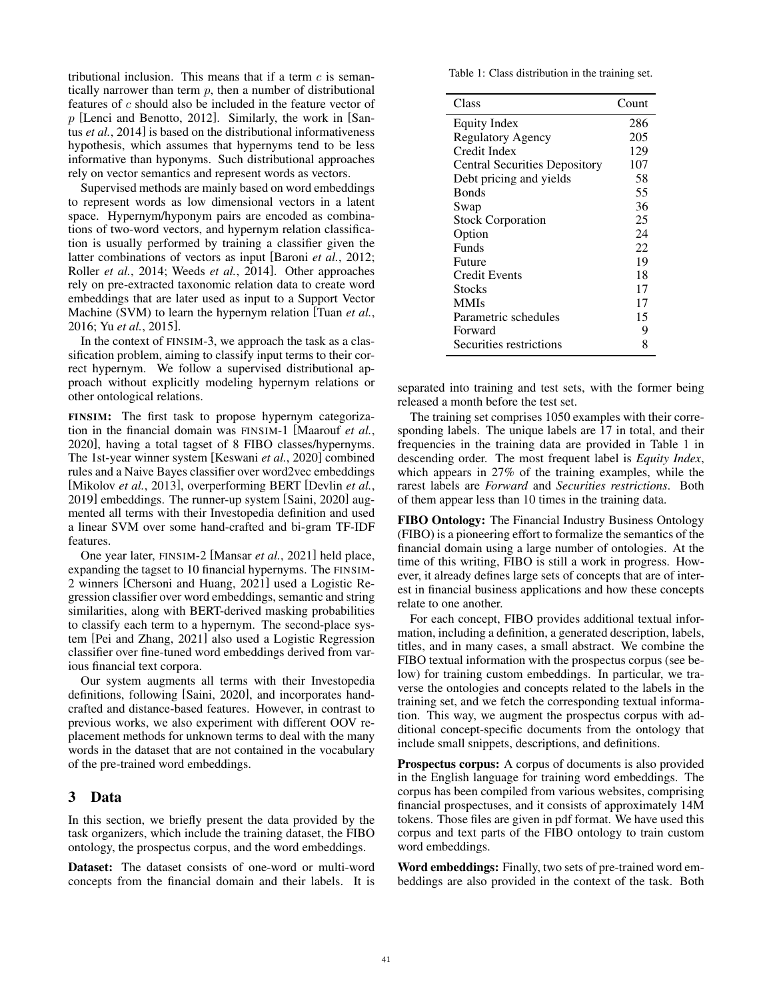tributional inclusion. This means that if a term  $c$  is semantically narrower than term  $p$ , then a number of distributional features of c should also be included in the feature vector of  $p$  [Lenci and Benotto, 2012]. Similarly, the work in [Santus *et al.*, 2014] is based on the distributional informativeness hypothesis, which assumes that hypernyms tend to be less informative than hyponyms. Such distributional approaches rely on vector semantics and represent words as vectors.

Supervised methods are mainly based on word embeddings to represent words as low dimensional vectors in a latent space. Hypernym/hyponym pairs are encoded as combinations of two-word vectors, and hypernym relation classification is usually performed by training a classifier given the latter combinations of vectors as input [Baroni *et al.*, 2012; Roller *et al.*, 2014; Weeds *et al.*, 2014]. Other approaches rely on pre-extracted taxonomic relation data to create word embeddings that are later used as input to a Support Vector Machine (SVM) to learn the hypernym relation [Tuan *et al.*, 2016; Yu *et al.*, 2015].

In the context of FINSIM-3, we approach the task as a classification problem, aiming to classify input terms to their correct hypernym. We follow a supervised distributional approach without explicitly modeling hypernym relations or other ontological relations.

FINSIM: The first task to propose hypernym categorization in the financial domain was FINSIM-1 [Maarouf *et al.*, 2020], having a total tagset of 8 FIBO classes/hypernyms. The 1st-year winner system [Keswani *et al.*, 2020] combined rules and a Naive Bayes classifier over word2vec embeddings [Mikolov *et al.*, 2013], overperforming BERT [Devlin *et al.*, 2019] embeddings. The runner-up system [Saini, 2020] augmented all terms with their Investopedia definition and used a linear SVM over some hand-crafted and bi-gram TF-IDF features.

One year later, FINSIM-2 [Mansar *et al.*, 2021] held place, expanding the tagset to 10 financial hypernyms. The FINSIM-2 winners [Chersoni and Huang, 2021] used a Logistic Regression classifier over word embeddings, semantic and string similarities, along with BERT-derived masking probabilities to classify each term to a hypernym. The second-place system [Pei and Zhang, 2021] also used a Logistic Regression classifier over fine-tuned word embeddings derived from various financial text corpora.

Our system augments all terms with their Investopedia definitions, following [Saini, 2020], and incorporates handcrafted and distance-based features. However, in contrast to previous works, we also experiment with different OOV replacement methods for unknown terms to deal with the many words in the dataset that are not contained in the vocabulary of the pre-trained word embeddings.

## 3 Data

In this section, we briefly present the data provided by the task organizers, which include the training dataset, the FIBO ontology, the prospectus corpus, and the word embeddings.

Dataset: The dataset consists of one-word or multi-word concepts from the financial domain and their labels. It is Table 1: Class distribution in the training set.

| Class                                | Count |
|--------------------------------------|-------|
| Equity Index                         | 286   |
| <b>Regulatory Agency</b>             | 205   |
| Credit Index                         | 129   |
| <b>Central Securities Depository</b> | 107   |
| Debt pricing and yields              | 58    |
| <b>Bonds</b>                         | 55    |
| Swap                                 | 36    |
| <b>Stock Corporation</b>             | 25    |
| Option                               | 24    |
| Funds                                | 22    |
| Future                               | 19    |
| Credit Events                        | 18    |
| Stocks                               | 17    |
| <b>MMIs</b>                          | 17    |
| Parametric schedules                 | 15    |
| Forward                              | 9     |
| Securities restrictions              | 8     |

separated into training and test sets, with the former being released a month before the test set.

The training set comprises 1050 examples with their corresponding labels. The unique labels are 17 in total, and their frequencies in the training data are provided in Table 1 in descending order. The most frequent label is *Equity Index*, which appears in 27% of the training examples, while the rarest labels are *Forward* and *Securities restrictions*. Both of them appear less than 10 times in the training data.

FIBO Ontology: The Financial Industry Business Ontology (FIBO) is a pioneering effort to formalize the semantics of the financial domain using a large number of ontologies. At the time of this writing, FIBO is still a work in progress. However, it already defines large sets of concepts that are of interest in financial business applications and how these concepts relate to one another.

For each concept, FIBO provides additional textual information, including a definition, a generated description, labels, titles, and in many cases, a small abstract. We combine the FIBO textual information with the prospectus corpus (see below) for training custom embeddings. In particular, we traverse the ontologies and concepts related to the labels in the training set, and we fetch the corresponding textual information. This way, we augment the prospectus corpus with additional concept-specific documents from the ontology that include small snippets, descriptions, and definitions.

Prospectus corpus: A corpus of documents is also provided in the English language for training word embeddings. The corpus has been compiled from various websites, comprising financial prospectuses, and it consists of approximately 14M tokens. Those files are given in pdf format. We have used this corpus and text parts of the FIBO ontology to train custom word embeddings.

Word embeddings: Finally, two sets of pre-trained word embeddings are also provided in the context of the task. Both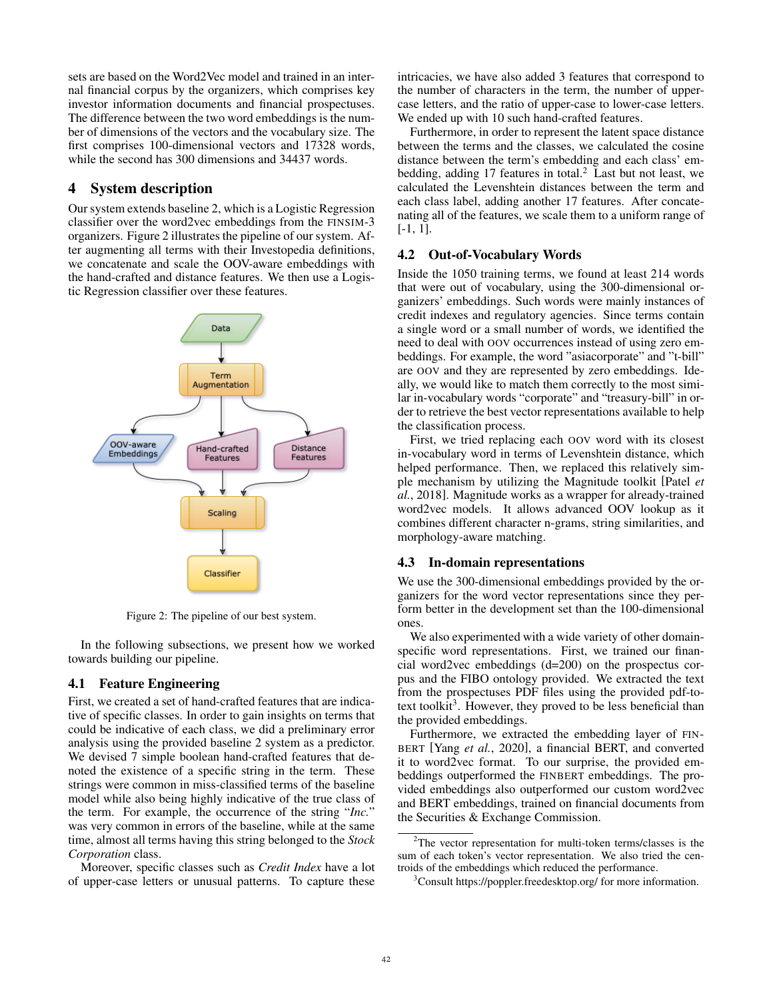sets are based on the Word2Vec model and trained in an internal financial corpus by the organizers, which comprises key investor information documents and financial prospectuses. The difference between the two word embeddings is the number of dimensions of the vectors and the vocabulary size. The first comprises 100-dimensional vectors and 17328 words, while the second has 300 dimensions and 34437 words.

## 4 System description

Our system extends baseline 2, which is a Logistic Regression classifier over the word2vec embeddings from the FINSIM-3 organizers. Figure 2 illustrates the pipeline of our system. After augmenting all terms with their Investopedia definitions, we concatenate and scale the OOV-aware embeddings with the hand-crafted and distance features. We then use a Logistic Regression classifier over these features.



Figure 2: The pipeline of our best system.

In the following subsections, we present how we worked towards building our pipeline.

## 4.1 Feature Engineering

First, we created a set of hand-crafted features that are indicative of specific classes. In order to gain insights on terms that could be indicative of each class, we did a preliminary error analysis using the provided baseline 2 system as a predictor. We devised 7 simple boolean hand-crafted features that denoted the existence of a specific string in the term. These strings were common in miss-classified terms of the baseline model while also being highly indicative of the true class of the term. For example, the occurrence of the string "*Inc.*" was very common in errors of the baseline, while at the same time, almost all terms having this string belonged to the *Stock Corporation* class.

Moreover, specific classes such as *Credit Index* have a lot of upper-case letters or unusual patterns. To capture these intricacies, we have also added 3 features that correspond to the number of characters in the term, the number of uppercase letters, and the ratio of upper-case to lower-case letters. We ended up with 10 such hand-crafted features.

Furthermore, in order to represent the latent space distance between the terms and the classes, we calculated the cosine distance between the term's embedding and each class' embedding, adding 17 features in total.<sup>2</sup> Last but not least, we calculated the Levenshtein distances between the term and each class label, adding another 17 features. After concatenating all of the features, we scale them to a uniform range of [-1, 1].

## 4.2 Out-of-Vocabulary Words

Inside the 1050 training terms, we found at least 214 words that were out of vocabulary, using the 300-dimensional organizers' embeddings. Such words were mainly instances of credit indexes and regulatory agencies. Since terms contain a single word or a small number of words, we identified the need to deal with OOV occurrences instead of using zero embeddings. For example, the word "asiacorporate" and "t-bill" are OOV and they are represented by zero embeddings. Ideally, we would like to match them correctly to the most similar in-vocabulary words "corporate" and "treasury-bill" in order to retrieve the best vector representations available to help the classification process.

First, we tried replacing each OOV word with its closest in-vocabulary word in terms of Levenshtein distance, which helped performance. Then, we replaced this relatively simple mechanism by utilizing the Magnitude toolkit [Patel *et al.*, 2018]. Magnitude works as a wrapper for already-trained word2vec models. It allows advanced OOV lookup as it combines different character n-grams, string similarities, and morphology-aware matching.

## 4.3 In-domain representations

We use the 300-dimensional embeddings provided by the organizers for the word vector representations since they perform better in the development set than the 100-dimensional ones.

We also experimented with a wide variety of other domainspecific word representations. First, we trained our financial word2vec embeddings (d=200) on the prospectus corpus and the FIBO ontology provided. We extracted the text from the prospectuses PDF files using the provided pdf-totext toolkit<sup>3</sup>. However, they proved to be less beneficial than the provided embeddings.

Furthermore, we extracted the embedding layer of FIN-BERT [Yang *et al.*, 2020], a financial BERT, and converted it to word2vec format. To our surprise, the provided embeddings outperformed the FINBERT embeddings. The provided embeddings also outperformed our custom word2vec and BERT embeddings, trained on financial documents from the Securities & Exchange Commission.

<sup>3</sup>Consult<https://poppler.freedesktop.org/> for more information.

<sup>2</sup>The vector representation for multi-token terms/classes is the sum of each token's vector representation. We also tried the centroids of the embeddings which reduced the performance.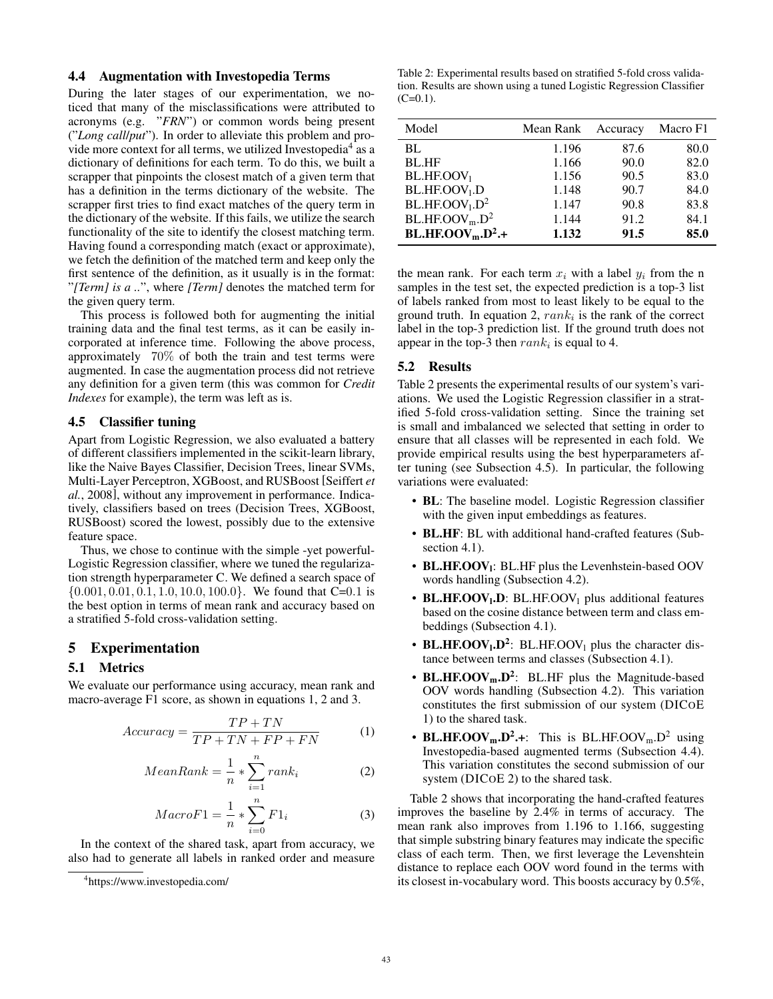#### 4.4 Augmentation with Investopedia Terms

During the later stages of our experimentation, we noticed that many of the misclassifications were attributed to acronyms (e.g. "*FRN*") or common words being present ("*Long call*/*put*"). In order to alleviate this problem and provide more context for all terms, we utilized Investopedia<sup>4</sup> as a dictionary of definitions for each term. To do this, we built a scrapper that pinpoints the closest match of a given term that has a definition in the terms dictionary of the website. The scrapper first tries to find exact matches of the query term in the dictionary of the website. If this fails, we utilize the search functionality of the site to identify the closest matching term. Having found a corresponding match (exact or approximate), we fetch the definition of the matched term and keep only the first sentence of the definition, as it usually is in the format: "*[Term] is a ..*", where *[Term]* denotes the matched term for the given query term.

This process is followed both for augmenting the initial training data and the final test terms, as it can be easily incorporated at inference time. Following the above process, approximately 70% of both the train and test terms were augmented. In case the augmentation process did not retrieve any definition for a given term (this was common for *Credit Indexes* for example), the term was left as is.

## 4.5 Classifier tuning

Apart from Logistic Regression, we also evaluated a battery of different classifiers implemented in the scikit-learn library, like the Naive Bayes Classifier, Decision Trees, linear SVMs, Multi-Layer Perceptron, XGBoost, and RUSBoost [Seiffert *et al.*, 2008], without any improvement in performance. Indicatively, classifiers based on trees (Decision Trees, XGBoost, RUSBoost) scored the lowest, possibly due to the extensive feature space.

Thus, we chose to continue with the simple -yet powerful-Logistic Regression classifier, where we tuned the regularization strength hyperparameter C. We defined a search space of  $\{0.001, 0.01, 0.1, 1.0, 10.0, 100.0\}$ . We found that C=0.1 is the best option in terms of mean rank and accuracy based on a stratified 5-fold cross-validation setting.

#### 5 Experimentation

#### 5.1 Metrics

We evaluate our performance using accuracy, mean rank and macro-average F1 score, as shown in equations 1, 2 and 3.

$$
Accuracy = \frac{TP + TN}{TP + TN + FP + FN}
$$
 (1)

$$
MeanRank = \frac{1}{n} * \sum_{i=1}^{n} rank_i
$$
 (2)

$$
MacroF1 = \frac{1}{n} * \sum_{i=0}^{n} F1_i
$$
 (3)

In the context of the shared task, apart from accuracy, we also had to generate all labels in ranked order and measure

Table 2: Experimental results based on stratified 5-fold cross validation. Results are shown using a tuned Logistic Regression Classifier  $(C=0.1)$ .

| Model                                    | Mean Rank | Accuracy | Macro F1 |
|------------------------------------------|-----------|----------|----------|
| BL                                       | 1.196     | 87.6     | 80.0     |
| <b>BL.HF</b>                             | 1.166     | 90.0     | 82.0     |
| BL.HF. OOV <sub>1</sub>                  | 1.156     | 90.5     | 83.0     |
| BL.HF. OOV <sub>1</sub> . D              | 1.148     | 90.7     | 84.0     |
| BL.HF. OOV <sub>1</sub> . D <sup>2</sup> | 1.147     | 90.8     | 83.8     |
| BL.HF. OOV <sub>m</sub> . D <sup>2</sup> | 1.144     | 91.2     | 84.1     |
| $BL.HF. OOVm. D2.+$                      | 1.132     | 91.5     | 85.0     |

the mean rank. For each term  $x_i$  with a label  $y_i$  from the n samples in the test set, the expected prediction is a top-3 list of labels ranked from most to least likely to be equal to the ground truth. In equation 2,  $rank_i$  is the rank of the correct label in the top-3 prediction list. If the ground truth does not appear in the top-3 then  $rank_i$  is equal to 4.

## 5.2 Results

Table 2 presents the experimental results of our system's variations. We used the Logistic Regression classifier in a stratified 5-fold cross-validation setting. Since the training set is small and imbalanced we selected that setting in order to ensure that all classes will be represented in each fold. We provide empirical results using the best hyperparameters after tuning (see Subsection 4.5). In particular, the following variations were evaluated:

- BL: The baseline model. Logistic Regression classifier with the given input embeddings as features.
- BL.HF: BL with additional hand-crafted features (Subsection 4.1).
- BL.HF.OOV<sub>1</sub>: BL.HF plus the Levenhstein-based OOV words handling (Subsection 4.2).
- BL.HF.OOV<sub>1</sub>.D: BL.HF.OOV<sub>1</sub> plus additional features based on the cosine distance between term and class embeddings (Subsection 4.1).
- BL.HF.OOV<sub>1</sub>.D<sup>2</sup>: BL.HF.OOV<sub>1</sub> plus the character distance between terms and classes (Subsection 4.1).
- BL.HF.OOV<sub>m</sub>.D<sup>2</sup>: BL.HF plus the Magnitude-based OOV words handling (Subsection 4.2). This variation constitutes the first submission of our system (DICOE 1) to the shared task.
- BL.HF.OOV<sub>m</sub>.D<sup>2</sup>.+: This is BL.HF.OOV<sub>m</sub>.D<sup>2</sup> using Investopedia-based augmented terms (Subsection 4.4). This variation constitutes the second submission of our system (DICOE 2) to the shared task.

Table 2 shows that incorporating the hand-crafted features improves the baseline by 2.4% in terms of accuracy. The mean rank also improves from 1.196 to 1.166, suggesting that simple substring binary features may indicate the specific class of each term. Then, we first leverage the Levenshtein distance to replace each OOV word found in the terms with its closest in-vocabulary word. This boosts accuracy by 0.5%,

<sup>4</sup> <https://www.investopedia.com/>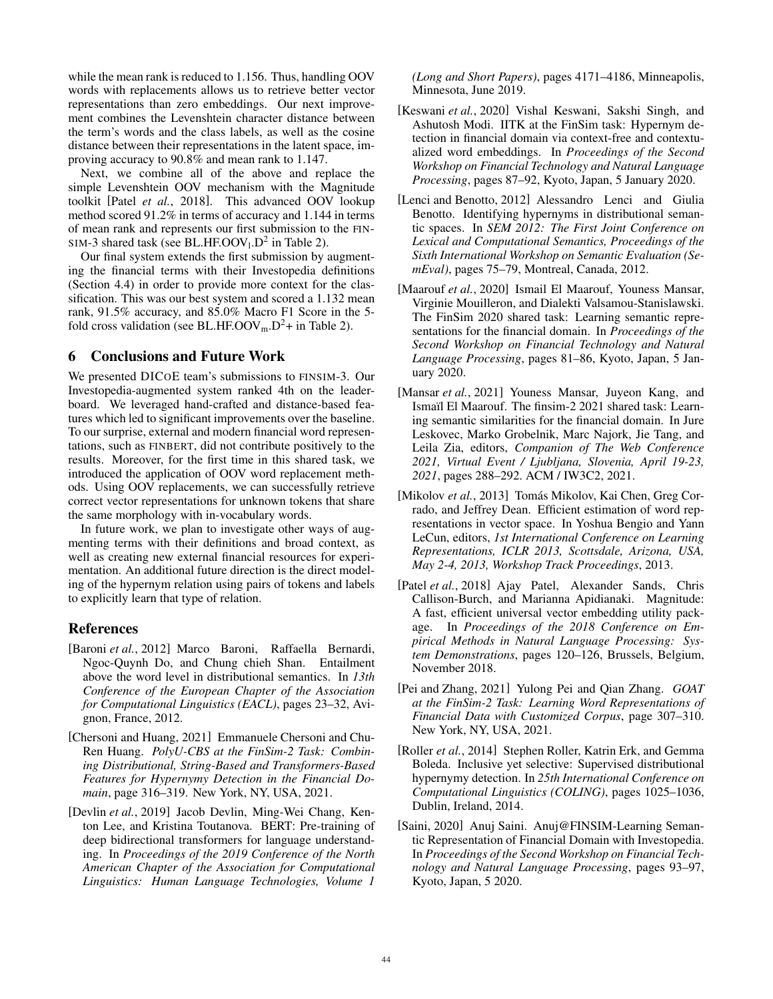while the mean rank is reduced to 1.156. Thus, handling OOV words with replacements allows us to retrieve better vector representations than zero embeddings. Our next improvement combines the Levenshtein character distance between the term's words and the class labels, as well as the cosine distance between their representations in the latent space, improving accuracy to 90.8% and mean rank to 1.147.

Next, we combine all of the above and replace the simple Levenshtein OOV mechanism with the Magnitude toolkit [Patel *et al.*, 2018]. This advanced OOV lookup method scored 91.2% in terms of accuracy and 1.144 in terms of mean rank and represents our first submission to the FIN-SIM-3 shared task (see BL.HF.OOV $_1$ .D<sup>2</sup> in Table 2).

Our final system extends the first submission by augmenting the financial terms with their Investopedia definitions (Section 4.4) in order to provide more context for the classification. This was our best system and scored a 1.132 mean rank, 91.5% accuracy, and 85.0% Macro F1 Score in the 5 fold cross validation (see BL.HF.OOV<sub>m</sub>.D<sup>2</sup>+ in Table 2).

## 6 Conclusions and Future Work

We presented DICOE team's submissions to FINSIM-3. Our Investopedia-augmented system ranked 4th on the leaderboard. We leveraged hand-crafted and distance-based features which led to significant improvements over the baseline. To our surprise, external and modern financial word representations, such as FINBERT, did not contribute positively to the results. Moreover, for the first time in this shared task, we introduced the application of OOV word replacement methods. Using OOV replacements, we can successfully retrieve correct vector representations for unknown tokens that share the same morphology with in-vocabulary words.

In future work, we plan to investigate other ways of augmenting terms with their definitions and broad context, as well as creating new external financial resources for experimentation. An additional future direction is the direct modeling of the hypernym relation using pairs of tokens and labels to explicitly learn that type of relation.

## References

- [Baroni *et al.*, 2012] Marco Baroni, Raffaella Bernardi, Ngoc-Quynh Do, and Chung chieh Shan. Entailment above the word level in distributional semantics. In *13th Conference of the European Chapter of the Association for Computational Linguistics (EACL)*, pages 23–32, Avignon, France, 2012.
- [Chersoni and Huang, 2021] Emmanuele Chersoni and Chu-Ren Huang. *PolyU-CBS at the FinSim-2 Task: Combining Distributional, String-Based and Transformers-Based Features for Hypernymy Detection in the Financial Domain*, page 316–319. New York, NY, USA, 2021.
- [Devlin *et al.*, 2019] Jacob Devlin, Ming-Wei Chang, Kenton Lee, and Kristina Toutanova. BERT: Pre-training of deep bidirectional transformers for language understanding. In *Proceedings of the 2019 Conference of the North American Chapter of the Association for Computational Linguistics: Human Language Technologies, Volume 1*

*(Long and Short Papers)*, pages 4171–4186, Minneapolis, Minnesota, June 2019.

- [Keswani *et al.*, 2020] Vishal Keswani, Sakshi Singh, and Ashutosh Modi. IITK at the FinSim task: Hypernym detection in financial domain via context-free and contextualized word embeddings. In *Proceedings of the Second Workshop on Financial Technology and Natural Language Processing*, pages 87–92, Kyoto, Japan, 5 January 2020.
- [Lenci and Benotto, 2012] Alessandro Lenci and Giulia Benotto. Identifying hypernyms in distributional semantic spaces. In *SEM 2012: The First Joint Conference on Lexical and Computational Semantics, Proceedings of the Sixth International Workshop on Semantic Evaluation (SemEval)*, pages 75–79, Montreal, Canada, 2012.
- [Maarouf *et al.*, 2020] Ismail El Maarouf, Youness Mansar, Virginie Mouilleron, and Dialekti Valsamou-Stanislawski. The FinSim 2020 shared task: Learning semantic representations for the financial domain. In *Proceedings of the Second Workshop on Financial Technology and Natural Language Processing*, pages 81–86, Kyoto, Japan, 5 January 2020.
- [Mansar *et al.*, 2021] Youness Mansar, Juyeon Kang, and Ismaïl El Maarouf. The finsim-2 2021 shared task: Learning semantic similarities for the financial domain. In Jure Leskovec, Marko Grobelnik, Marc Najork, Jie Tang, and Leila Zia, editors, *Companion of The Web Conference 2021, Virtual Event / Ljubljana, Slovenia, April 19-23, 2021*, pages 288–292. ACM / IW3C2, 2021.
- [Mikolov *et al.*, 2013] Tomás Mikolov, Kai Chen, Greg Corrado, and Jeffrey Dean. Efficient estimation of word representations in vector space. In Yoshua Bengio and Yann LeCun, editors, *1st International Conference on Learning Representations, ICLR 2013, Scottsdale, Arizona, USA, May 2-4, 2013, Workshop Track Proceedings*, 2013.
- [Patel *et al.*, 2018] Ajay Patel, Alexander Sands, Chris Callison-Burch, and Marianna Apidianaki. Magnitude: A fast, efficient universal vector embedding utility package. In *Proceedings of the 2018 Conference on Empirical Methods in Natural Language Processing: System Demonstrations*, pages 120–126, Brussels, Belgium, November 2018.
- [Pei and Zhang, 2021] Yulong Pei and Qian Zhang. *GOAT at the FinSim-2 Task: Learning Word Representations of Financial Data with Customized Corpus*, page 307–310. New York, NY, USA, 2021.
- [Roller *et al.*, 2014] Stephen Roller, Katrin Erk, and Gemma Boleda. Inclusive yet selective: Supervised distributional hypernymy detection. In *25th International Conference on Computational Linguistics (COLING)*, pages 1025–1036, Dublin, Ireland, 2014.
- [Saini, 2020] Anuj Saini. Anuj@FINSIM-Learning Semantic Representation of Financial Domain with Investopedia. In *Proceedings of the Second Workshop on Financial Technology and Natural Language Processing*, pages 93–97, Kyoto, Japan, 5 2020.